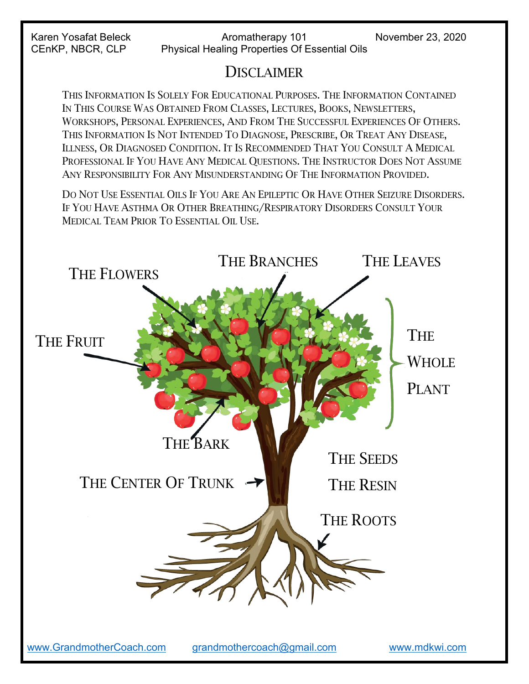# **DISCLAIMER**

THIS INFORMATION IS SOLELY FOR EDUCATIONAL PURPOSES. THE INFORMATION CONTAINED IN THIS COURSE WAS OBTAINED FROM CLASSES, LECTURES, BOOKS, NEWSLETTERS, WORKSHOPS, PERSONAL EXPERIENCES, AND FROM THE SUCCESSFUL EXPERIENCES OF OTHERS. THIS INFORMATION IS NOT INTENDED TO DIAGNOSE, PRESCRIBE, OR TREAT ANY DISEASE, ILLNESS, OR DIAGNOSED CONDITION. IT IS RECOMMENDED THAT YOU CONSULT A MEDICAL PROFESSIONAL IF YOU HAVE ANY MEDICAL QUESTIONS. THE INSTRUCTOR DOES NOT ASSUME ANY RESPONSIBILITY FOR ANY MISUNDERSTANDING OF THE INFORMATION PROVIDED.

DO NOT USE ESSENTIAL OILS IF YOU ARE AN EPILEPTIC OR HAVE OTHER SEIZURE DISORDERS. IF YOU HAVE ASTHMA OR OTHER BREATHING/RESPIRATORY DISORDERS CONSULT YOUR MEDICAL TEAM PRIOR TO ESSENTIAL OIL USE.

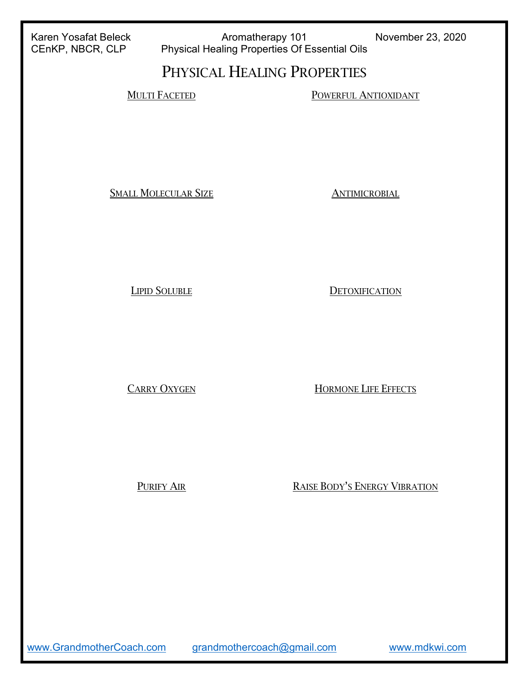Karen Yosafat Beleck **Aromatherapy 101** November 23, 2020<br>CEnKP, NBCR, CLP Physical Healing Properties Of Essential Oils Physical Healing Properties Of Essential Oils

# PHYSICAL HEALING PROPERTIES

MULTI FACETED POWERFUL ANTIOXIDANT

SMALL MOLECULAR SIZE ANTIMICROBIAL

LIPID SOLUBLE DETOXIFICATION

CARRY OXYGEN HORMONE LIFE EFFECTS

PURIFY AIR RAISE BODY'S ENERGY VIBRATION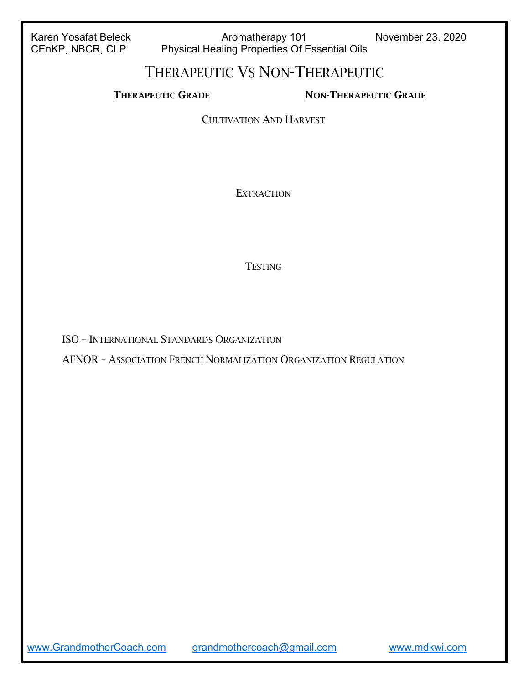Karen Yosafat Beleck **Aromatherapy 101** November 23, 2020<br>CEnKP, NBCR, CLP Physical Healing Properties Of Essential Oils Physical Healing Properties Of Essential Oils

## THERAPEUTIC VS NON-THERAPEUTIC

THERAPEUTIC GRADE NON-THERAPEUTIC GRADE

CULTIVATION AND HARVEST

**EXTRACTION** 

#### **TESTING**

ISO – INTERNATIONAL STANDARDS ORGANIZATION

AFNOR – ASSOCIATION FRENCH NORMALIZATION ORGANIZATION REGULATION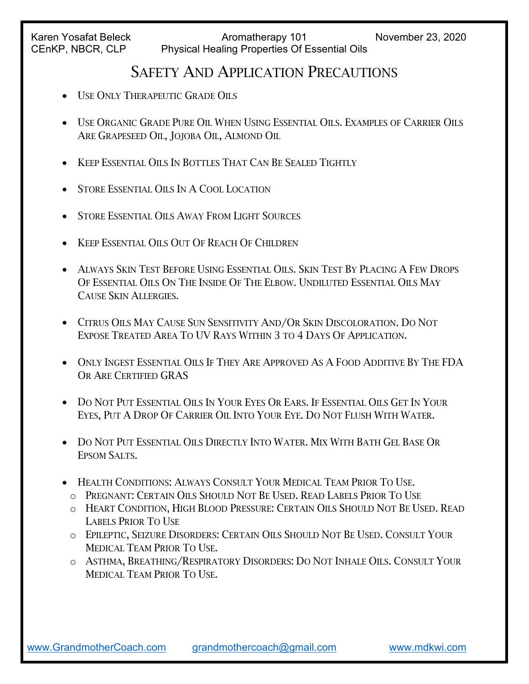## SAFETY AND APPLICATION PRECAUTIONS

- USE ONLY THERAPEUTIC GRADE OILS
- USE ORGANIC GRADE PURE OIL WHEN USING ESSENTIAL OILS. EXAMPLES OF CARRIER OILS ARE GRAPESEED OIL, JOJOBA OIL, ALMOND OIL
- KEEP ESSENTIAL OILS IN BOTTLES THAT CAN BE SEALED TIGHTLY
- STORE ESSENTIAL OILS IN A COOL LOCATION
- STORE ESSENTIAL OILS AWAY FROM LIGHT SOURCES
- KEEP ESSENTIAL OILS OUT OF REACH OF CHILDREN
- ALWAYS SKIN TEST BEFORE USING ESSENTIAL OILS. SKIN TEST BY PLACING A FEW DROPS OF ESSENTIAL OILS ON THE INSIDE OF THE ELBOW. UNDILUTED ESSENTIAL OILS MAY CAUSE SKIN ALLERGIES.
- CITRUS OILS MAY CAUSE SUN SENSITIVITY AND/OR SKIN DISCOLORATION. DO NOT EXPOSE TREATED AREA TO UV RAYS WITHIN 3 TO 4 DAYS OF APPLICATION.
- ONLY INGEST ESSENTIAL OILS IF THEY ARE APPROVED AS A FOOD ADDITIVE BY THE FDA OR ARE CERTIFIED GRAS
- DO NOT PUT ESSENTIAL OILS IN YOUR EYES OR EARS. IF ESSENTIAL OILS GET IN YOUR EYES, PUT A DROP OF CARRIER OIL INTO YOUR EYE. DO NOT FLUSH WITH WATER.
- DO NOT PUT ESSENTIAL OILS DIRECTLY INTO WATER. MIX WITH BATH GEL BASE OR EPSOM SALTS.
- HEALTH CONDITIONS: ALWAYS CONSULT YOUR MEDICAL TEAM PRIOR TO USE.
	- o PREGNANT: CERTAIN OILS SHOULD NOT BE USED. READ LABELS PRIOR TO USE
	- o HEART CONDITION, HIGH BLOOD PRESSURE: CERTAIN OILS SHOULD NOT BE USED. READ LABELS PRIOR TO USE
	- o EPILEPTIC, SEIZURE DISORDERS: CERTAIN OILS SHOULD NOT BE USED. CONSULT YOUR MEDICAL TEAM PRIOR TO USE.
	- o ASTHMA, BREATHING/RESPIRATORY DISORDERS: DO NOT INHALE OILS. CONSULT YOUR MEDICAL TEAM PRIOR TO USE.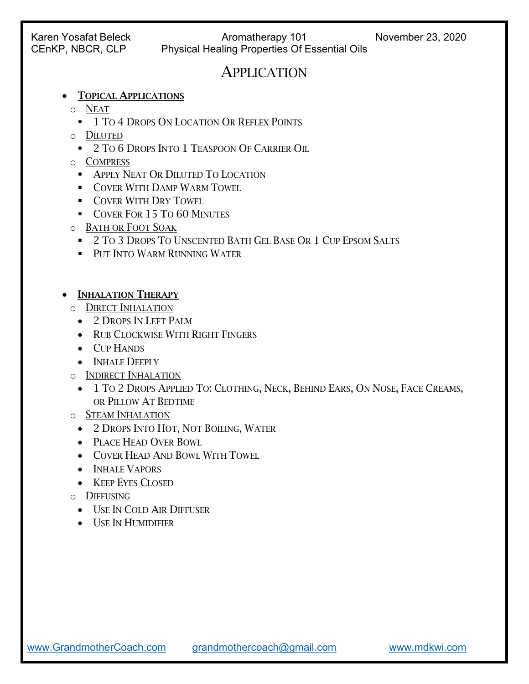### APPLICATION

- TOPICAL APPLICATIONS
	- o NEAT
		- **1 TO 4 DROPS ON LOCATION OR REFLEX POINTS**
	- o DILUTED
		- **2 TO 6 DROPS INTO 1 TEASPOON OF CARRIER OIL**
	- o COMPRESS
		- **APPLY NEAT OR DILUTED TO LOCATION**
		- **COVER WITH DAMP WARM TOWEL**
		- **COVER WITH DRY TOWEL**
		- COVER FOR 15 TO 60 MINUTES
	- o BATH OR FOOT SOAK
		- **2 TO 3 DROPS TO UNSCENTED BATH GEL BASE OR 1 CUP EPSOM SALTS**
		- **PUT INTO WARM RUNNING WATER**
- INHALATION THERAPY
	- o DIRECT INHALATION
		- 2 DROPS IN LEFT PALM
		- RUB CLOCKWISE WITH RIGHT FINGERS
		- CUP HANDS
		- INHALE DEEPLY
	- o INDIRECT INHALATION
		- 1 TO 2 DROPS APPLIED TO: CLOTHING, NECK, BEHIND EARS, ON NOSE, FACE CREAMS, OR PILLOW AT BEDTIME
	- o STEAM INHALATION
		- 2 DROPS INTO HOT, NOT BOILING, WATER
		- PLACE HEAD OVER BOWL
		- COVER HEAD AND BOWL WITH TOWEL
		- INHALE VAPORS
		- KEEP EYES CLOSED
	- o DIFFUSING
		- USE IN COLD AIR DIFFUSER
		- USE IN HUMIDIFIER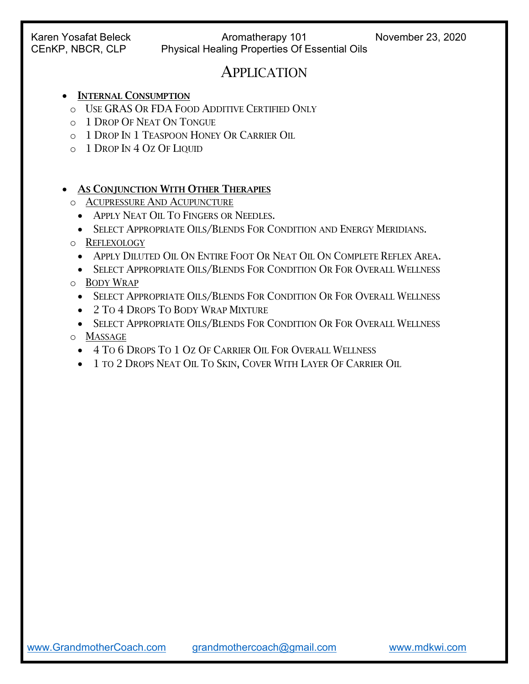### APPLICATION

#### • INTERNAL CONSUMPTION

- o USE GRAS OR FDA FOOD ADDITIVE CERTIFIED ONLY
- o 1 DROP OF NEAT ON TONGUE
- o 1 DROP IN 1 TEASPOON HONEY OR CARRIER OIL
- o 1 DROP IN 4 OZ OF LIQUID

#### • AS CONJUNCTION WITH OTHER THERAPIES

- o ACUPRESSURE AND ACUPUNCTURE
	- APPLY NEAT OIL TO FINGERS OR NEEDLES.
	- SELECT APPROPRIATE OILS/BLENDS FOR CONDITION AND ENERGY MERIDIANS.
- o REFLEXOLOGY
	- APPLY DILUTED OIL ON ENTIRE FOOT OR NEAT OIL ON COMPLETE REFLEX AREA.
- SELECT APPROPRIATE OILS/BLENDS FOR CONDITION OR FOR OVERALL WELLNESS o BODY WRAP
	- SELECT APPROPRIATE OILS/BLENDS FOR CONDITION OR FOR OVERALL WELLNESS
	- 2 TO 4 DROPS TO BODY WRAP MIXTURE
- SELECT APPROPRIATE OILS/BLENDS FOR CONDITION OR FOR OVERALL WELLNESS o MASSAGE
	- 4 TO 6 DROPS TO 1 OZ OF CARRIER OIL FOR OVERALL WELLNESS
	- 1 TO 2 DROPS NEAT OIL TO SKIN, COVER WITH LAYER OF CARRIER OIL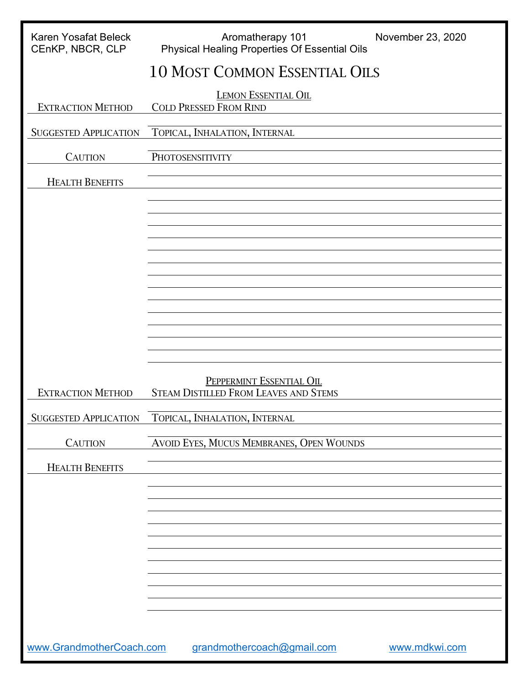| <b>Karen Yosafat Beleck</b><br>CEnKP, NBCR, CLP | Aromatherapy 101<br>November 23, 2020<br>Physical Healing Properties Of Essential Oils |
|-------------------------------------------------|----------------------------------------------------------------------------------------|
|                                                 | <b>10 MOST COMMON ESSENTIAL OILS</b>                                                   |
| <b>EXTRACTION METHOD</b>                        | <b>LEMON ESSENTIAL OIL</b><br><b>COLD PRESSED FROM RIND</b>                            |
| <b>SUGGESTED APPLICATION</b>                    | TOPICAL, INHALATION, INTERNAL                                                          |
| <b>CAUTION</b>                                  | PHOTOSENSITIVITY                                                                       |
| <b>HEALTH BENEFITS</b>                          |                                                                                        |
|                                                 |                                                                                        |
|                                                 |                                                                                        |
|                                                 |                                                                                        |
|                                                 |                                                                                        |
|                                                 |                                                                                        |
|                                                 |                                                                                        |
|                                                 |                                                                                        |
|                                                 |                                                                                        |
| <b>EXTRACTION METHOD</b>                        | PEPPERMINT ESSENTIAL OIL<br><b>STEAM DISTILLED FROM LEAVES AND STEMS</b>               |
| <b>SUGGESTED APPLICATION</b>                    | TOPICAL, INHALATION, INTERNAL                                                          |
| <b>CAUTION</b>                                  | AVOID EYES, MUCUS MEMBRANES, OPEN WOUNDS                                               |
| <b>HEALTH BENEFITS</b>                          |                                                                                        |
|                                                 |                                                                                        |
|                                                 |                                                                                        |
|                                                 |                                                                                        |
|                                                 |                                                                                        |
|                                                 |                                                                                        |
|                                                 |                                                                                        |
|                                                 |                                                                                        |
| www.GrandmotherCoach.com                        | grandmothercoach@gmail.com<br>www.mdkwi.com                                            |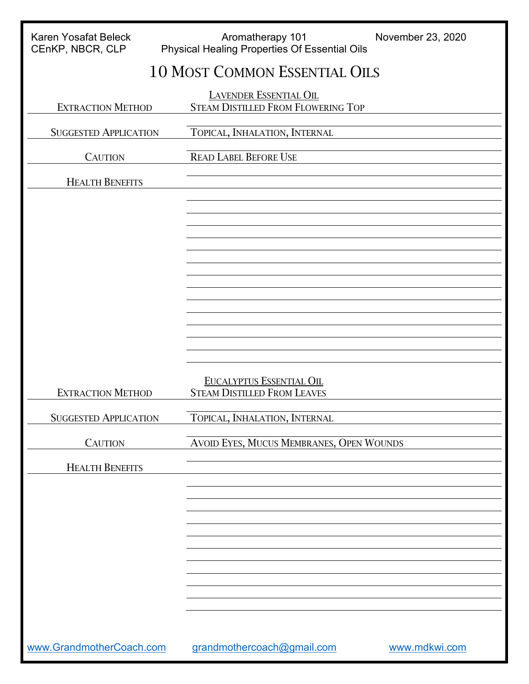| <b>Karen Yosafat Beleck</b>  | Aromatherapy 101                                                           | November 23, 2020 |
|------------------------------|----------------------------------------------------------------------------|-------------------|
| CEnKP, NBCR, CLP             | <b>Physical Healing Properties Of Essential Oils</b>                       |                   |
|                              | <b>10 MOST COMMON ESSENTIAL OILS</b>                                       |                   |
| <b>EXTRACTION METHOD</b>     | <b>LAVENDER ESSENTIAL OIL</b><br><b>STEAM DISTILLED FROM FLOWERING TOP</b> |                   |
| <b>SUGGESTED APPLICATION</b> | TOPICAL, INHALATION, INTERNAL                                              |                   |
| <b>CAUTION</b>               | <b>READ LABEL BEFORE USE</b>                                               |                   |
| <b>HEALTH BENEFITS</b>       |                                                                            |                   |
|                              |                                                                            |                   |
|                              |                                                                            |                   |
|                              |                                                                            |                   |
|                              |                                                                            |                   |
|                              |                                                                            |                   |
|                              |                                                                            |                   |
|                              |                                                                            |                   |
|                              |                                                                            |                   |
| <b>EXTRACTION METHOD</b>     | <b>EUCALYPTUS ESSENTIAL OIL</b><br><b>STEAM DISTILLED FROM LEAVES</b>      |                   |
| <b>SUGGESTED APPLICATION</b> | TOPICAL, INHALATION, INTERNAL                                              |                   |
| <b>CAUTION</b>               | AVOID EYES, MUCUS MEMBRANES, OPEN WOUNDS                                   |                   |
| <b>HEALTH BENEFITS</b>       |                                                                            |                   |
|                              |                                                                            |                   |
|                              |                                                                            |                   |
|                              |                                                                            |                   |
|                              |                                                                            |                   |
|                              |                                                                            |                   |
|                              |                                                                            |                   |
|                              |                                                                            |                   |
| www.GrandmotherCoach.com     | grandmothercoach@gmail.com                                                 | www.mdkwi.com     |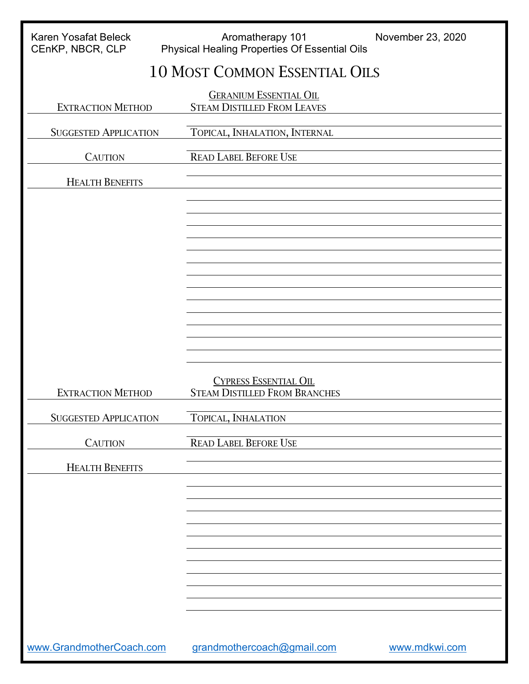| Karen Yosafat Beleck<br>CEnKP, NBCR, CLP | Aromatherapy 101<br>November 23, 2020<br>Physical Healing Properties Of Essential Oils |
|------------------------------------------|----------------------------------------------------------------------------------------|
|                                          | <b>10 MOST COMMON ESSENTIAL OILS</b>                                                   |
| <b>EXTRACTION METHOD</b>                 | <b>GERANIUM ESSENTIAL OIL</b><br><b>STEAM DISTILLED FROM LEAVES</b>                    |
| <b>SUGGESTED APPLICATION</b>             | TOPICAL, INHALATION, INTERNAL                                                          |
| <b>CAUTION</b>                           | <b>READ LABEL BEFORE USE</b>                                                           |
| <b>HEALTH BENEFITS</b>                   |                                                                                        |
|                                          |                                                                                        |
|                                          |                                                                                        |
|                                          |                                                                                        |
|                                          |                                                                                        |
|                                          |                                                                                        |
|                                          |                                                                                        |
|                                          |                                                                                        |
|                                          |                                                                                        |
| <b>EXTRACTION METHOD</b>                 | <b>CYPRESS ESSENTIAL OIL</b><br><b>STEAM DISTILLED FROM BRANCHES</b>                   |
| <b>SUGGESTED APPLICATION</b>             | TOPICAL, INHALATION                                                                    |
| <b>CAUTION</b>                           | <b>READ LABEL BEFORE USE</b>                                                           |
| <b>HEALTH BENEFITS</b>                   |                                                                                        |
|                                          |                                                                                        |
|                                          |                                                                                        |
|                                          |                                                                                        |
|                                          |                                                                                        |
|                                          |                                                                                        |
|                                          |                                                                                        |
|                                          |                                                                                        |
| www.GrandmotherCoach.com                 | grandmothercoach@gmail.com<br>www.mdkwi.com                                            |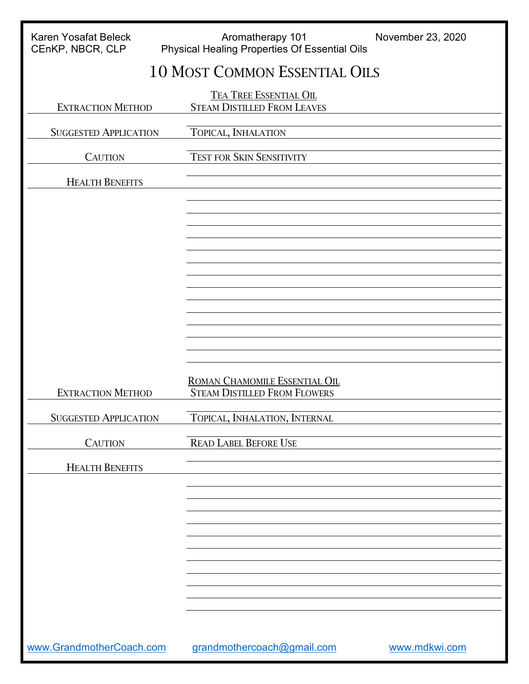| Karen Yosafat Beleck<br>CEnKP, NBCR, CLP | Aromatherapy 101<br>November 23, 2020<br>Physical Healing Properties Of Essential Oils |
|------------------------------------------|----------------------------------------------------------------------------------------|
|                                          | <b>10 MOST COMMON ESSENTIAL OILS</b>                                                   |
| <b>EXTRACTION METHOD</b>                 | <b>TEA TREE ESSENTIAL OIL</b><br><b>STEAM DISTILLED FROM LEAVES</b>                    |
| <b>SUGGESTED APPLICATION</b>             | TOPICAL, INHALATION                                                                    |
| <b>CAUTION</b>                           | <b>TEST FOR SKIN SENSITIVITY</b>                                                       |
| <b>HEALTH BENEFITS</b>                   |                                                                                        |
|                                          |                                                                                        |
|                                          |                                                                                        |
|                                          |                                                                                        |
|                                          |                                                                                        |
|                                          |                                                                                        |
|                                          |                                                                                        |
|                                          |                                                                                        |
|                                          |                                                                                        |
| <b>EXTRACTION METHOD</b>                 | ROMAN CHAMOMILE ESSENTIAL OIL<br><b>STEAM DISTILLED FROM FLOWERS</b>                   |
| <b>SUGGESTED APPLICATION</b>             | TOPICAL, INHALATION, INTERNAL                                                          |
| <b>CAUTION</b>                           | <b>READ LABEL BEFORE USE</b>                                                           |
| <b>HEALTH BENEFITS</b>                   |                                                                                        |
|                                          |                                                                                        |
|                                          |                                                                                        |
|                                          |                                                                                        |
|                                          |                                                                                        |
|                                          |                                                                                        |
|                                          |                                                                                        |
|                                          |                                                                                        |
| www.GrandmotherCoach.com                 | grandmothercoach@gmail.com<br>www.mdkwi.com                                            |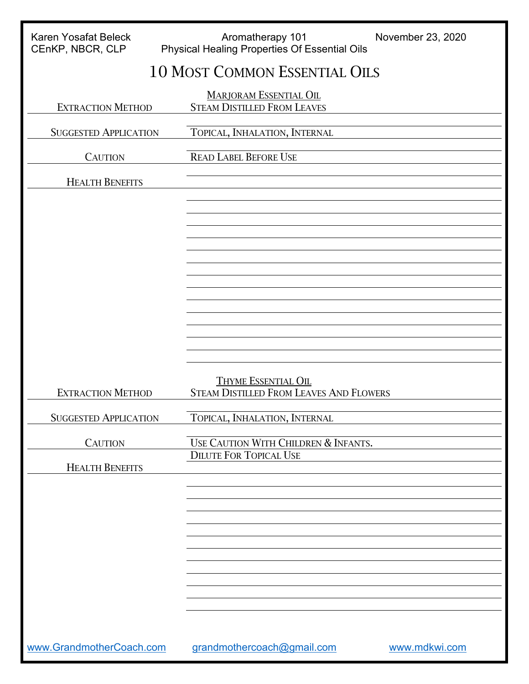| <b>Karen Yosafat Beleck</b><br>CEnKP, NBCR, CLP | Aromatherapy 101<br>November 23, 2020<br><b>Physical Healing Properties Of Essential Oils</b> |  |
|-------------------------------------------------|-----------------------------------------------------------------------------------------------|--|
| <b>10 MOST COMMON ESSENTIAL OILS</b>            |                                                                                               |  |
| <b>EXTRACTION METHOD</b>                        | <b>MARJORAM ESSENTIAL OIL</b><br><b>STEAM DISTILLED FROM LEAVES</b>                           |  |
| <b>SUGGESTED APPLICATION</b>                    | TOPICAL, INHALATION, INTERNAL                                                                 |  |
| <b>CAUTION</b>                                  | <b>READ LABEL BEFORE USE</b>                                                                  |  |
| <b>HEALTH BENEFITS</b>                          |                                                                                               |  |
|                                                 |                                                                                               |  |
|                                                 |                                                                                               |  |
|                                                 |                                                                                               |  |
|                                                 |                                                                                               |  |
|                                                 |                                                                                               |  |
|                                                 |                                                                                               |  |
|                                                 |                                                                                               |  |
| <b>EXTRACTION METHOD</b>                        | <b>THYME ESSENTIAL OIL</b><br><b>STEAM DISTILLED FROM LEAVES AND FLOWERS</b>                  |  |
| <b>SUGGESTED APPLICATION</b>                    | TOPICAL, INHALATION, INTERNAL                                                                 |  |
| <b>CAUTION</b>                                  | USE CAUTION WITH CHILDREN & INFANTS.                                                          |  |
| <b>HEALTH BENEFITS</b>                          | <b>DILUTE FOR TOPICAL USE</b>                                                                 |  |
|                                                 |                                                                                               |  |
|                                                 |                                                                                               |  |
|                                                 |                                                                                               |  |
|                                                 |                                                                                               |  |
|                                                 |                                                                                               |  |
|                                                 |                                                                                               |  |
| www.GrandmotherCoach.com                        | grandmothercoach@gmail.com<br>www.mdkwi.com                                                   |  |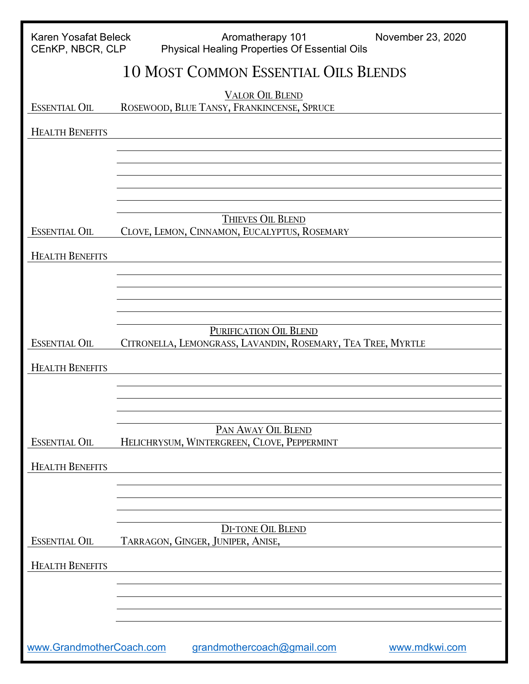| <b>Karen Yosafat Beleck</b><br>CEnKP, NBCR, CLP                         | Aromatherapy 101<br>November 23, 2020<br><b>Physical Healing Properties Of Essential Oils</b> |
|-------------------------------------------------------------------------|-----------------------------------------------------------------------------------------------|
|                                                                         | <b>10 MOST COMMON ESSENTIAL OILS BLENDS</b>                                                   |
| <b>ESSENTIAL OIL</b>                                                    | <b>VALOR OIL BLEND</b><br>ROSEWOOD, BLUE TANSY, FRANKINCENSE, SPRUCE                          |
| <b>HEALTH BENEFITS</b>                                                  |                                                                                               |
|                                                                         |                                                                                               |
|                                                                         |                                                                                               |
|                                                                         |                                                                                               |
| <b>ESSENTIAL OIL</b>                                                    | THIEVES OIL BLEND<br>CLOVE, LEMON, CINNAMON, EUCALYPTUS, ROSEMARY                             |
| <b>HEALTH BENEFITS</b>                                                  |                                                                                               |
|                                                                         |                                                                                               |
|                                                                         |                                                                                               |
|                                                                         | PURIFICATION OIL BLEND                                                                        |
| <b>ESSENTIAL OIL</b>                                                    | CITRONELLA, LEMONGRASS, LAVANDIN, ROSEMARY, TEA TREE, MYRTLE                                  |
| <b>HEALTH BENEFITS</b>                                                  |                                                                                               |
|                                                                         |                                                                                               |
| <b>ESSENTIAL OIL</b>                                                    | PAN AWAY OIL BLEND<br>HELICHRYSUM, WINTERGREEN, CLOVE, PEPPERMINT                             |
| <b>HEALTH BENEFITS</b>                                                  |                                                                                               |
|                                                                         |                                                                                               |
|                                                                         |                                                                                               |
| <b>ESSENTIAL OIL</b>                                                    | <b>DI-TONE OIL BLEND</b><br>TARRAGON, GINGER, JUNIPER, ANISE,                                 |
| <b>HEALTH BENEFITS</b>                                                  |                                                                                               |
|                                                                         |                                                                                               |
|                                                                         |                                                                                               |
| www.GrandmotherCoach.com<br>grandmothercoach@gmail.com<br>www.mdkwi.com |                                                                                               |